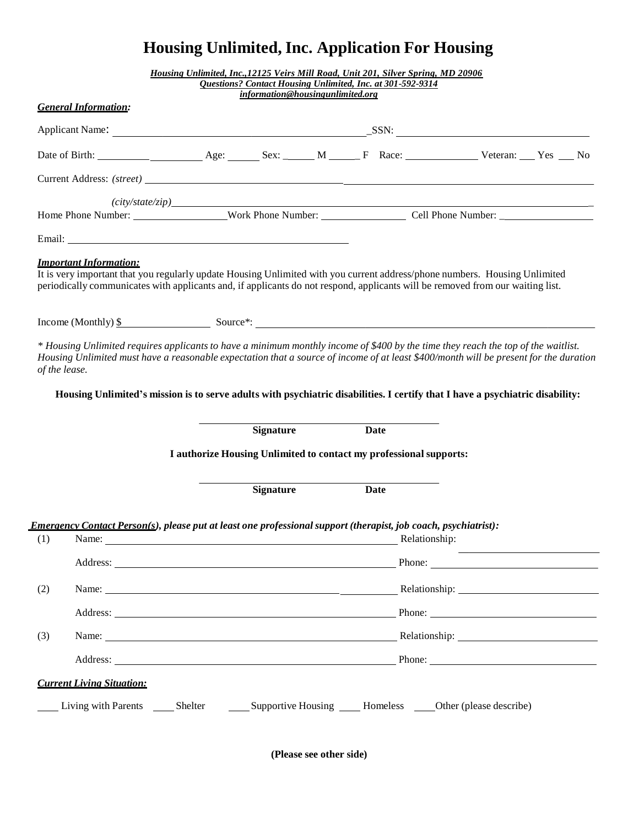## **Housing Unlimited, Inc. Application For Housing**

|                                                                    |                                                                                                                                                                                                                                                                                                                                                                                                             |  | Housing Unlimited, Inc., 12125 Veirs Mill Road, Unit 201, Silver Spring, MD 20906 | <b>Questions? Contact Housing Unlimited, Inc. at 301-592-9314</b> |  |             |               |  |  |  |  |
|--------------------------------------------------------------------|-------------------------------------------------------------------------------------------------------------------------------------------------------------------------------------------------------------------------------------------------------------------------------------------------------------------------------------------------------------------------------------------------------------|--|-----------------------------------------------------------------------------------|-------------------------------------------------------------------|--|-------------|---------------|--|--|--|--|
|                                                                    |                                                                                                                                                                                                                                                                                                                                                                                                             |  |                                                                                   | information@housingunlimited.org                                  |  |             |               |  |  |  |  |
|                                                                    | <b>General Information:</b>                                                                                                                                                                                                                                                                                                                                                                                 |  |                                                                                   |                                                                   |  |             |               |  |  |  |  |
|                                                                    |                                                                                                                                                                                                                                                                                                                                                                                                             |  |                                                                                   |                                                                   |  |             |               |  |  |  |  |
|                                                                    | Date of Birth: <u>New Age: Sex: M_Race: F</u> Race: Veteran: Yes No                                                                                                                                                                                                                                                                                                                                         |  |                                                                                   |                                                                   |  |             |               |  |  |  |  |
|                                                                    |                                                                                                                                                                                                                                                                                                                                                                                                             |  |                                                                                   |                                                                   |  |             |               |  |  |  |  |
|                                                                    |                                                                                                                                                                                                                                                                                                                                                                                                             |  |                                                                                   |                                                                   |  |             |               |  |  |  |  |
|                                                                    |                                                                                                                                                                                                                                                                                                                                                                                                             |  |                                                                                   |                                                                   |  |             |               |  |  |  |  |
|                                                                    |                                                                                                                                                                                                                                                                                                                                                                                                             |  |                                                                                   |                                                                   |  |             |               |  |  |  |  |
|                                                                    | <b>Important Information:</b><br>It is very important that you regularly update Housing Unlimited with you current address/phone numbers. Housing Unlimited<br>periodically communicates with applicants and, if applicants do not respond, applicants will be removed from our waiting list.                                                                                                               |  |                                                                                   |                                                                   |  |             |               |  |  |  |  |
|                                                                    |                                                                                                                                                                                                                                                                                                                                                                                                             |  |                                                                                   |                                                                   |  |             |               |  |  |  |  |
| of the lease.                                                      | * Housing Unlimited requires applicants to have a minimum monthly income of \$400 by the time they reach the top of the waitlist.<br>Housing Unlimited must have a reasonable expectation that a source of income of at least \$400/month will be present for the duration<br>Housing Unlimited's mission is to serve adults with psychiatric disabilities. I certify that I have a psychiatric disability: |  |                                                                                   |                                                                   |  |             |               |  |  |  |  |
|                                                                    |                                                                                                                                                                                                                                                                                                                                                                                                             |  |                                                                                   | <b>Signature</b>                                                  |  | <b>Date</b> |               |  |  |  |  |
| I authorize Housing Unlimited to contact my professional supports: |                                                                                                                                                                                                                                                                                                                                                                                                             |  |                                                                                   |                                                                   |  |             |               |  |  |  |  |
|                                                                    |                                                                                                                                                                                                                                                                                                                                                                                                             |  |                                                                                   | <b>Signature</b>                                                  |  | <b>Date</b> |               |  |  |  |  |
|                                                                    |                                                                                                                                                                                                                                                                                                                                                                                                             |  |                                                                                   |                                                                   |  |             |               |  |  |  |  |
| (1)                                                                | Emergency Contact Person(s), please put at least one professional support (therapist, job coach, psychiatrist):                                                                                                                                                                                                                                                                                             |  |                                                                                   |                                                                   |  |             | Relationship: |  |  |  |  |
|                                                                    | Address: Phone: Phone: Phone: Phone: Phone: Phone: Phone: Phone: Phone: Phone: Phone: Phone: Phone: Phone: Phone: Phone: Phone: Phone: Phone: Phone: Phone: Phone: Phone: Phone: Phone: Phone: Phone: Phone: Phone: Phone: Pho                                                                                                                                                                              |  |                                                                                   |                                                                   |  |             |               |  |  |  |  |
| (2)                                                                | Name: Name: Name: Name: Name: Name: Name: Name: Name: Name: Name: Name: Name: Name: Name: Name: Name: Name: Name: Name: Name: Name: Name: Name: Name: Name: Name: Name: Name: Name: Name: Name: Name: Name: Name: Name: Name:                                                                                                                                                                               |  |                                                                                   |                                                                   |  |             |               |  |  |  |  |
|                                                                    | Address: Phone: Phone: Phone: Phone: Phone: Phone: Phone: Phone: Phone: Phone: Phone: Phone: Phone: Phone: Phone: Phone: Phone: Phone: Phone: Phone: Phone: Phone: Phone: Phone: Phone: Phone: Phone: Phone: Phone: Phone: Pho                                                                                                                                                                              |  |                                                                                   |                                                                   |  |             |               |  |  |  |  |
| (3)                                                                |                                                                                                                                                                                                                                                                                                                                                                                                             |  |                                                                                   |                                                                   |  |             |               |  |  |  |  |
|                                                                    | Address: Phone: Phone: Phone: Phone: Phone: Phone: Phone: Phone: Phone: Phone: Phone: Phone: Phone: Phone: Phone: Phone: Phone: Phone: Phone: Phone: Phone: Phone: Phone: Phone: Phone: Phone: Phone: Phone: Phone: Phone: Pho                                                                                                                                                                              |  |                                                                                   |                                                                   |  |             |               |  |  |  |  |
|                                                                    | <b>Current Living Situation:</b>                                                                                                                                                                                                                                                                                                                                                                            |  |                                                                                   |                                                                   |  |             |               |  |  |  |  |
|                                                                    |                                                                                                                                                                                                                                                                                                                                                                                                             |  |                                                                                   |                                                                   |  |             |               |  |  |  |  |

**(Please see other side)**